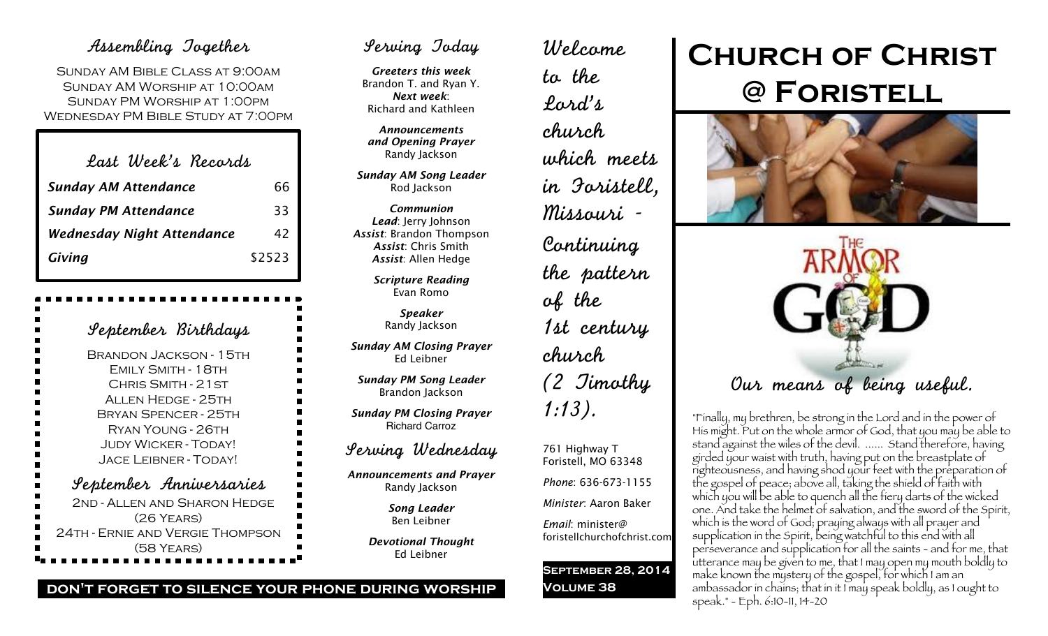## Assembling Together

Sunday AM Bible Class at 9:00am Sunday AM Worship at 10:00am Sunday PM Worship at 1:00pm Wednesday PM Bible Study at 7:00pm

| Last Week's Records               |        |
|-----------------------------------|--------|
| <b>Sunday AM Attendance</b>       | 66     |
| <b>Sunday PM Attendance</b>       | 33     |
| <b>Wednesday Night Attendance</b> | 42     |
| Giving                            | \$2523 |

| September Birthdays              |
|----------------------------------|
| <b>BRANDON JACKSON - 15TH</b>    |
| EMILY SMITH - 18TH               |
| CHRIS SMITH - 21ST               |
| <b>ALLEN HEDGE - 25TH</b>        |
| BRYAN SPENCER - 25TH             |
| RYAN YOUNG - 26TH                |
| <b>JUDY WICKER - TODAY!</b>      |
| Jace Leibner - Today!            |
| September Anniversaries          |
| 2ND - ALLEN AND SHARON HEDGE     |
| (26 YEARS)                       |
| 24TH - ERNIE AND VERGIE THOMPSON |
| (58 YEARS)                       |

## Serving Today

*Greeters this week* Brandon T. and Ryan Y. *Next week*: Richard and Kathleen

*Announcements and Opening Prayer* Randy Jackson

*Sunday AM Song Leader* Rod Jackson

*Communion Lead*: Jerry Johnson *Assist*: Brandon Thompson *Assist*: Chris Smith *Assist*: Allen Hedge

> *Scripture Reading* Evan Romo

> > *Speaker* Randy Jackson

*Sunday AM Closing Prayer* Ed Leibner

*Sunday PM Song Leader* Brandon Jackson

*Sunday PM Closing Prayer* Richard Carroz

## Serving Wednesday

*Announcements and Prayer* Randy Jackson

> *Song Leader* Ben Leibner

*Devotional Thought* Ed Leibner

Welcome to the Lord's church which meets in Foristell, Missouri - Continuing the pattern of the 1st century church (2 Timothy 1:13).

761 Highway T Foristell, MO 63348

*Phone*: 636-673-1155

*Minister*: Aaron Baker

*Email*: minister@ foristellchurchofchrist.com

**September 28, 2014 Volume 38**

# **Church of Christ @ Foristell**





"Finally, my brethren, be strong in the Lord and in the power of His might. Put on the whole armor of God, that you may be able to stand against the wiles of the devil. ...... Stand therefore, having girded your waist with truth, having put on the breastplate of righteousness, and having shod your feet with the preparation of the gospel of peace; above all, taking the shield of faith with which you will be able to quench all the fiery darts of the wicked one. And take the helmet of salvation, and the sword of the Spirit, which is the word of God; praying always with all prayer and supplication in the Spirit, being watchful to this end with all perseverance and supplication for all the saints - and for me, that utterance may be given to me, that I may open my mouth boldly to make known the mystery of the gospel, for which I am an ambassador in chains; that in it I may speak boldly, as I ought to speak." - Eph. 6:10-11, 14-20

#### **don't forget to silence your phone during worship**